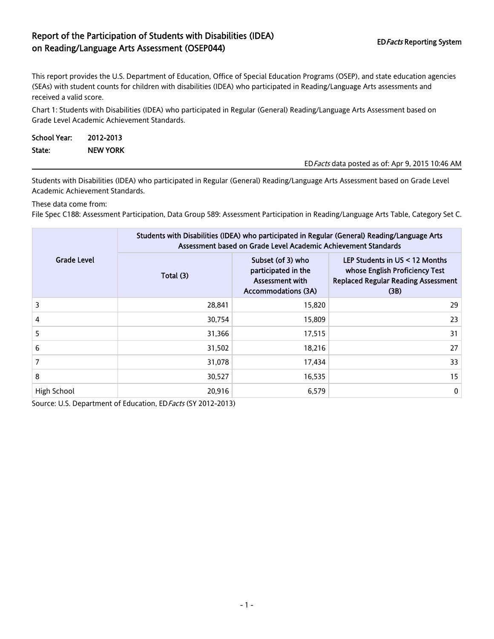## Report of the Participation of Students with Disabilities (IDEA) EDFacts Reporting System<br>
on Reading/Language Arts Assessment (OSEP044)

This report provides the U.S. Department of Education, Office of Special Education Programs (OSEP), and state education agencies (SEAs) with student counts for children with disabilities (IDEA) who participated in Reading/Language Arts assessments and received a valid score.

Chart 1: Students with Disabilities (IDEA) who participated in Regular (General) Reading/Language Arts Assessment based on Grade Level Academic Achievement Standards.

| School Year: | 2012-2013       |                                                  |
|--------------|-----------------|--------------------------------------------------|
| State:       | <b>NEW YORK</b> |                                                  |
|              |                 | ED Facts data posted as of: Apr 9, 2015 10:46 AM |

Students with Disabilities (IDEA) who participated in Regular (General) Reading/Language Arts Assessment based on Grade Level Academic Achievement Standards.

These data come from:

File Spec C188: Assessment Participation, Data Group 589: Assessment Participation in Reading/Language Arts Table, Category Set C.

|                    | Students with Disabilities (IDEA) who participated in Regular (General) Reading/Language Arts<br>Assessment based on Grade Level Academic Achievement Standards |                                                                                           |                                                                                                                        |  |  |
|--------------------|-----------------------------------------------------------------------------------------------------------------------------------------------------------------|-------------------------------------------------------------------------------------------|------------------------------------------------------------------------------------------------------------------------|--|--|
| <b>Grade Level</b> | Total (3)                                                                                                                                                       | Subset (of 3) who<br>participated in the<br>Assessment with<br><b>Accommodations (3A)</b> | LEP Students in US < 12 Months<br>whose English Proficiency Test<br><b>Replaced Regular Reading Assessment</b><br>(3B) |  |  |
| 3                  | 28,841                                                                                                                                                          | 15,820                                                                                    | 29                                                                                                                     |  |  |
| 4                  | 30,754                                                                                                                                                          | 15,809                                                                                    | 23                                                                                                                     |  |  |
| 5                  | 31,366                                                                                                                                                          | 17,515                                                                                    | 31                                                                                                                     |  |  |
| 6                  | 31,502                                                                                                                                                          | 18,216                                                                                    | 27                                                                                                                     |  |  |
| 7                  | 31,078                                                                                                                                                          | 17,434                                                                                    | 33                                                                                                                     |  |  |
| 8                  | 30,527                                                                                                                                                          | 16,535                                                                                    | 15                                                                                                                     |  |  |
| High School        | 20,916                                                                                                                                                          | 6,579                                                                                     | $\mathbf 0$                                                                                                            |  |  |

Source: U.S. Department of Education, ED Facts (SY 2012-2013)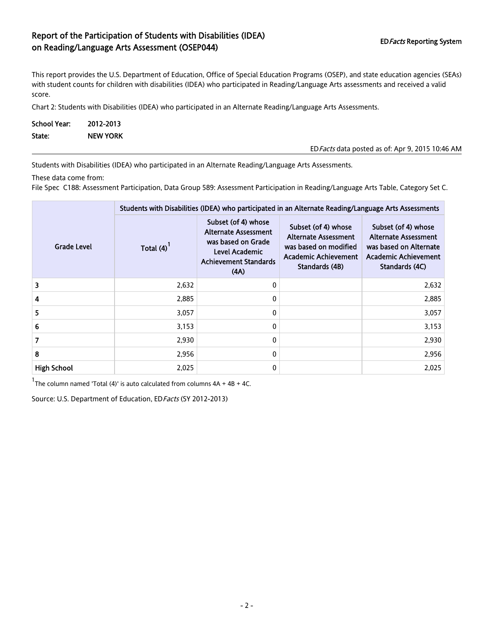## Report of the Participation of Students with Disabilities (IDEA) EDFacts Reporting System on Reading/Language Arts Assessment (OSEP044)

This report provides the U.S. Department of Education, Office of Special Education Programs (OSEP), and state education agencies (SEAs) with student counts for children with disabilities (IDEA) who participated in Reading/Language Arts assessments and received a valid score.

Chart 2: Students with Disabilities (IDEA) who participated in an Alternate Reading/Language Arts Assessments.

| <b>School Year:</b> | 2012-2013       |                                                  |
|---------------------|-----------------|--------------------------------------------------|
| State:              | <b>NEW YORK</b> |                                                  |
|                     |                 | ED Facts data posted as of: Apr 9, 2015 10:46 AM |

Students with Disabilities (IDEA) who participated in an Alternate Reading/Language Arts Assessments.

These data come from:

File Spec C188: Assessment Participation, Data Group 589: Assessment Participation in Reading/Language Arts Table, Category Set C.

|                    | Students with Disabilities (IDEA) who participated in an Alternate Reading/Language Arts Assessments |                                                                                                                                    |                                                                                                                              |                                                                                                                               |  |  |
|--------------------|------------------------------------------------------------------------------------------------------|------------------------------------------------------------------------------------------------------------------------------------|------------------------------------------------------------------------------------------------------------------------------|-------------------------------------------------------------------------------------------------------------------------------|--|--|
| <b>Grade Level</b> | Total (4)                                                                                            | Subset (of 4) whose<br><b>Alternate Assessment</b><br>was based on Grade<br>Level Academic<br><b>Achievement Standards</b><br>(AA) | Subset (of 4) whose<br><b>Alternate Assessment</b><br>was based on modified<br><b>Academic Achievement</b><br>Standards (4B) | Subset (of 4) whose<br><b>Alternate Assessment</b><br>was based on Alternate<br><b>Academic Achievement</b><br>Standards (4C) |  |  |
| 3                  | 2,632                                                                                                | 0                                                                                                                                  |                                                                                                                              | 2,632                                                                                                                         |  |  |
| 4                  | 2,885                                                                                                | 0                                                                                                                                  |                                                                                                                              | 2,885                                                                                                                         |  |  |
| 5.                 | 3,057                                                                                                | 0                                                                                                                                  |                                                                                                                              | 3,057                                                                                                                         |  |  |
| 6                  | 3,153                                                                                                | 0                                                                                                                                  |                                                                                                                              | 3,153                                                                                                                         |  |  |
| 7                  | 2,930                                                                                                | 0                                                                                                                                  |                                                                                                                              | 2,930                                                                                                                         |  |  |
| 8                  | 2,956                                                                                                | 0                                                                                                                                  |                                                                                                                              | 2,956                                                                                                                         |  |  |
| <b>High School</b> | 2,025                                                                                                | 0                                                                                                                                  |                                                                                                                              | 2,025                                                                                                                         |  |  |

 $1$ The column named 'Total (4)' is auto calculated from columns  $4A + 4B + 4C$ .

Source: U.S. Department of Education, ED Facts (SY 2012-2013)